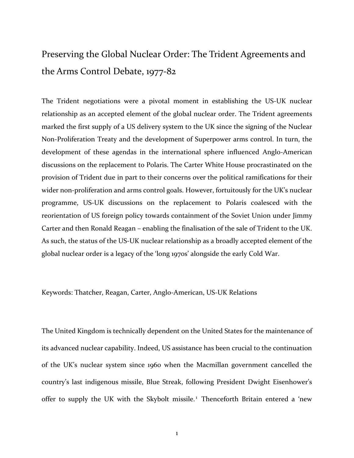## Preserving the Global Nuclear Order: The Trident Agreements and the Arms Control Debate, 1977-82

The Trident negotiations were a pivotal moment in establishing the US-UK nuclear relationship as an accepted element of the global nuclear order. The Trident agreements marked the first supply of a US delivery system to the UK since the signing of the Nuclear Non-Proliferation Treaty and the development of Superpower arms control. In turn, the development of these agendas in the international sphere influenced Anglo-American discussions on the replacement to Polaris. The Carter White House procrastinated on the provision of Trident due in part to their concerns over the political ramifications for their wider non-proliferation and arms control goals. However, fortuitously for the UK's nuclear programme, US-UK discussions on the replacement to Polaris coalesced with the reorientation of US foreign policy towards containment of the Soviet Union under Jimmy Carter and then Ronald Reagan – enabling the finalisation of the sale of Trident to the UK. As such, the status of the US-UK nuclear relationship as a broadly accepted element of the global nuclear order is a legacy of the 'long 1970s' alongside the early Cold War.

Keywords: Thatcher, Reagan, Carter, Anglo-American, US-UK Relations

The United Kingdom is technically dependent on the United States for the maintenance of its advanced nuclear capability. Indeed, US assistance has been crucial to the continuation of the UK's nuclear system since 1960 when the Macmillan government cancelled the country's last indigenous missile, Blue Streak, following President Dwight Eisenhower's offer to supply the UK with the Skybolt missile.<sup>1</sup> Thenceforth Britain entered a 'new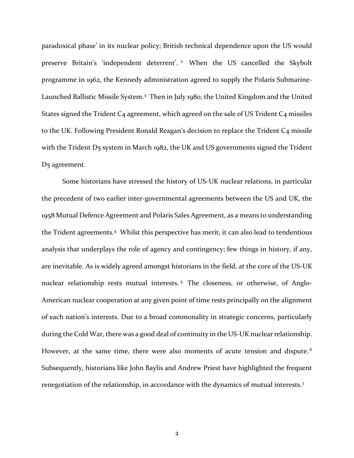paradoxical phase' in its nuclear policy; British technical dependence upon the US would preserve Britain's 'independent deterrent'.<sup>2</sup> When the US cancelled the Skybolt programme in 1962, the Kennedy administration agreed to supply the Polaris Submarine-Launched Ballistic Missile System.<sup>3</sup> Then in July 1980, the United Kingdom and the United States signed the Trident C<sub>4</sub> agreement, which agreed on the sale of US Trident C<sub>4</sub> missiles to the UK. Following President Ronald Reagan's decision to replace the Trident C4 missile with the Trident D5 system in March 1982, the UK and US governments signed the Trident D<sub>5</sub> agreement.

Some historians have stressed the history of US-UK nuclear relations, in particular the precedent of two earlier inter-governmental agreements between the US and UK, the 1958 Mutual Defence Agreement and P0laris Sales Agreement, as a means to understanding the Trident agreements.<sup>4</sup> Whilst this perspective has merit, it can also lead to tendentious analysis that underplays the role of agency and contingency; few things in history, if any, are inevitable. As is widely agreed amongst historians in the field, at the core of the US-UK nuclear relationship rests mutual interests. <sup>5</sup> The closeness, or otherwise, of Anglo-American nuclear cooperation at any given point of time rests principally on the alignment of each nation's interests. Due to a broad commonality in strategic concerns, particularly during the Cold War, there was a good deal of continuity in the US-UK nuclear relationship. However, at the same time, there were also moments of acute tension and dispute.<sup>6</sup> Subsequently, historians like John Baylis and Andrew Priest have highlighted the frequent renegotiation of the relationship, in accordance with the dynamics of mutual interests.<sup>7</sup>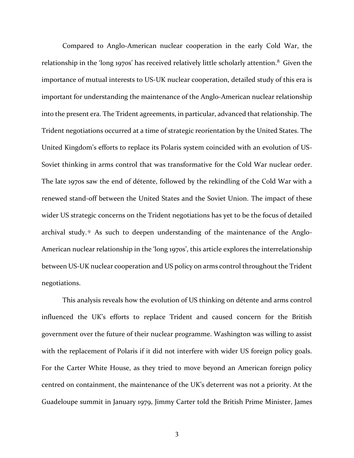Compared to Anglo-American nuclear cooperation in the early Cold War, the relationship in the 'long 1970s' has received relatively little scholarly attention.<sup>8</sup> Given the importance of mutual interests to US-UK nuclear cooperation, detailed study of this era is important for understanding the maintenance of the Anglo-American nuclear relationship into the present era. The Trident agreements, in particular, advanced that relationship. The Trident negotiations occurred at a time of strategic reorientation by the United States. The United Kingdom's efforts to replace its Polaris system coincided with an evolution of US-Soviet thinking in arms control that was transformative for the Cold War nuclear order. The late 1970s saw the end of détente, followed by the rekindling of the Cold War with a renewed stand-off between the United States and the Soviet Union. The impact of these wider US strategic concerns on the Trident negotiations has yet to be the focus of detailed archival study. <sup>9</sup> As such to deepen understanding of the maintenance of the Anglo-American nuclear relationship in the 'long 1970s', this article explores the interrelationship between US-UK nuclear cooperation and US policy on arms control throughout the Trident negotiations.

This analysis reveals how the evolution of US thinking on détente and arms control influenced the UK's efforts to replace Trident and caused concern for the British government over the future of their nuclear programme. Washington was willing to assist with the replacement of Polaris if it did not interfere with wider US foreign policy goals. For the Carter White House, as they tried to move beyond an American foreign policy centred on containment, the maintenance of the UK's deterrent was not a priority. At the Guadeloupe summit in January 1979, Jimmy Carter told the British Prime Minister, James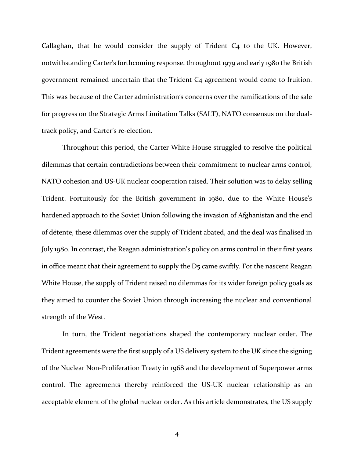Callaghan, that he would consider the supply of Trident C4 to the UK. However, notwithstanding Carter's forthcoming response, throughout 1979 and early 1980 the British government remained uncertain that the Trident C4 agreement would come to fruition. This was because of the Carter administration's concerns over the ramifications of the sale for progress on the Strategic Arms Limitation Talks (SALT), NATO consensus on the dualtrack policy, and Carter's re-election.

Throughout this period, the Carter White House struggled to resolve the political dilemmas that certain contradictions between their commitment to nuclear arms control, NATO cohesion and US-UK nuclear cooperation raised. Their solution was to delay selling Trident. Fortuitously for the British government in 1980, due to the White House's hardened approach to the Soviet Union following the invasion of Afghanistan and the end of détente, these dilemmas over the supply of Trident abated, and the deal was finalised in July 1980. In contrast, the Reagan administration's policy on arms control in their first years in office meant that their agreement to supply the D<sub>5</sub> came swiftly. For the nascent Reagan White House, the supply of Trident raised no dilemmas for its wider foreign policy goals as they aimed to counter the Soviet Union through increasing the nuclear and conventional strength of the West.

In turn, the Trident negotiations shaped the contemporary nuclear order. The Trident agreements were the first supply of a US delivery system to the UK since the signing of the Nuclear Non-Proliferation Treaty in 1968 and the development of Superpower arms control. The agreements thereby reinforced the US-UK nuclear relationship as an acceptable element of the global nuclear order. As this article demonstrates, the US supply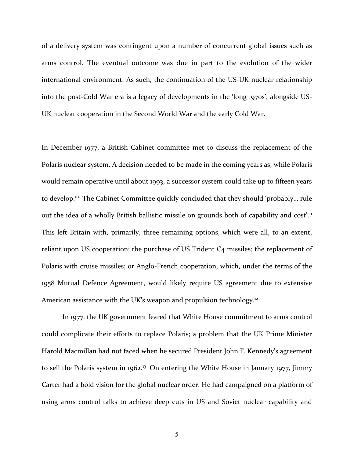of a delivery system was contingent upon a number of concurrent global issues such as arms control. The eventual outcome was due in part to the evolution of the wider international environment. As such, the continuation of the US-UK nuclear relationship into the post-Cold War era is a legacy of developments in the 'long 1970s', alongside US-UK nuclear cooperation in the Second World War and the early Cold War.

In December 1977, a British Cabinet committee met to discuss the replacement of the Polaris nuclear system. A decision needed to be made in the coming years as, while Polaris would remain operative until about 1993, a successor system could take up to fifteen years to develop.<sup>10</sup> The Cabinet Committee quickly concluded that they should 'probably... rule out the idea of a wholly British ballistic missile on grounds both of capability and cost'.<sup>11</sup> This left Britain with, primarily, three remaining options, which were all, to an extent, reliant upon US cooperation: the purchase of US Trident C<sub>4</sub> missiles; the replacement of Polaris with cruise missiles; or Anglo-French cooperation, which, under the terms of the 1958 Mutual Defence Agreement, would likely require US agreement due to extensive American assistance with the UK's weapon and propulsion technology.<sup>12</sup>

In 1977, the UK government feared that White House commitment to arms control could complicate their efforts to replace Polaris; a problem that the UK Prime Minister Harold Macmillan had not faced when he secured President John F. Kennedy's agreement to sell the Polaris system in 1962.<sup>13</sup> On entering the White House in January 1977, Jimmy Carter had a bold vision for the global nuclear order. He had campaigned on a platform of using arms control talks to achieve deep cuts in US and Soviet nuclear capability and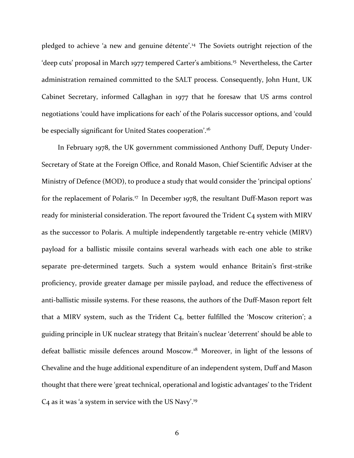pledged to achieve 'a new and genuine détente'. <sup>14</sup> The Soviets outright rejection of the 'deep cuts' proposal in March 1977 tempered Carter's ambitions.<sup>15</sup> Nevertheless, the Carter administration remained committed to the SALT process. Consequently, John Hunt, UK Cabinet Secretary, informed Callaghan in 1977 that he foresaw that US arms control negotiations 'could have implications for each' of the Polaris successor options, and 'could be especially significant for United States cooperation'.<sup>16</sup>

In February 1978, the UK government commissioned Anthony Duff, Deputy Under-Secretary of State at the Foreign Office, and Ronald Mason, Chief Scientific Adviser at the Ministry of Defence (MOD), to produce a study that would consider the 'principal options' for the replacement of Polaris.<sup>17</sup> In December 1978, the resultant Duff-Mason report was ready for ministerial consideration. The report favoured the Trident C<sub>4</sub> system with MIRV as the successor to Polaris. A multiple independently targetable re-entry vehicle (MIRV) payload for a ballistic missile contains several warheads with each one able to strike separate pre-determined targets. Such a system would enhance Britain's first-strike proficiency, provide greater damage per missile payload, and reduce the effectiveness of anti-ballistic missile systems. For these reasons, the authors of the Duff-Mason report felt that a MIRV system, such as the Trident  $C_4$ , better fulfilled the 'Moscow criterion'; a guiding principle in UK nuclear strategy that Britain's nuclear 'deterrent' should be able to defeat ballistic missile defences around Moscow.<sup>18</sup> Moreover, in light of the lessons of Chevaline and the huge additional expenditure of an independent system, Duff and Mason thought that there were 'great technical, operational and logistic advantages' to the Trident C<sub>4</sub> as it was 'a system in service with the US Navy'.<sup>19</sup>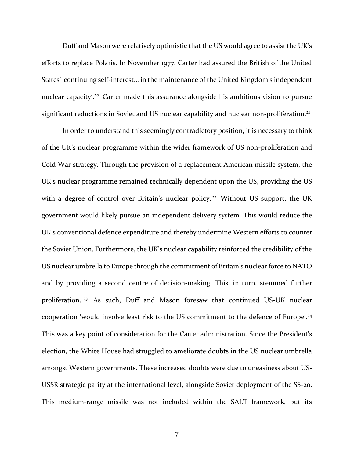Duff and Mason were relatively optimistic that the US would agree to assist the UK's efforts to replace Polaris. In November 1977, Carter had assured the British of the United States' 'continuing self-interest… in the maintenance of the United Kingdom's independent nuclear capacity'. <sup>20</sup> Carter made this assurance alongside his ambitious vision to pursue significant reductions in Soviet and US nuclear capability and nuclear non-proliferation.<sup>21</sup>

In order to understand this seemingly contradictory position, it is necessary to think of the UK's nuclear programme within the wider framework of US non-proliferation and Cold War strategy. Through the provision of a replacement American missile system, the UK's nuclear programme remained technically dependent upon the US, providing the US with a degree of control over Britain's nuclear policy.<sup>22</sup> Without US support, the UK government would likely pursue an independent delivery system. This would reduce the UK's conventional defence expenditure and thereby undermine Western efforts to counter the Soviet Union. Furthermore, the UK's nuclear capability reinforced the credibility of the US nuclear umbrella to Europe through the commitment of Britain's nuclear force to NATO and by providing a second centre of decision-making. This, in turn, stemmed further proliferation. <sup>23</sup> As such, Duff and Mason foresaw that continued US-UK nuclear cooperation 'would involve least risk to the US commitment to the defence of Europe'. 24 This was a key point of consideration for the Carter administration. Since the President's election, the White House had struggled to ameliorate doubts in the US nuclear umbrella amongst Western governments. These increased doubts were due to uneasiness about US-USSR strategic parity at the international level, alongside Soviet deployment of the SS-20. This medium-range missile was not included within the SALT framework, but its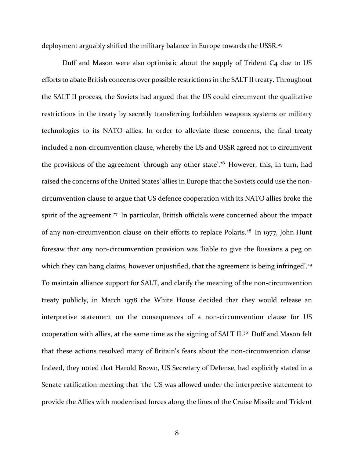deployment arguably shifted the military balance in Europe towards the USSR.<sup>25</sup>

Duff and Mason were also optimistic about the supply of Trident C4 due to US efforts to abate British concerns over possible restrictions in the SALT II treaty. Throughout the SALT II process, the Soviets had argued that the US could circumvent the qualitative restrictions in the treaty by secretly transferring forbidden weapons systems or military technologies to its NATO allies. In order to alleviate these concerns, the final treaty included a non-circumvention clause, whereby the US and USSR agreed not to circumvent the provisions of the agreement 'through any other state'. <sup>26</sup> However, this, in turn, had raised the concerns of the United States' allies in Europe that the Soviets could use the noncircumvention clause to argue that US defence cooperation with its NATO allies broke the spirit of the agreement.<sup>27</sup> In particular, British officials were concerned about the impact of any non-circumvention clause on their efforts to replace Polaris.<sup>28</sup> In 1977, John Hunt foresaw that *any* non-circumvention provision was 'liable to give the Russians a peg on which they can hang claims, however unjustified, that the agreement is being infringed'.<sup>29</sup> To maintain alliance support for SALT, and clarify the meaning of the non-circumvention treaty publicly, in March 1978 the White House decided that they would release an interpretive statement on the consequences of a non-circumvention clause for US cooperation with allies, at the same time as the signing of SALT II.<sup>30</sup> Duff and Mason felt that these actions resolved many of Britain's fears about the non-circumvention clause. Indeed, they noted that Harold Brown, US Secretary of Defense, had explicitly stated in a Senate ratification meeting that 'the US was allowed under the interpretive statement to provide the Allies with modernised forces along the lines of the Cruise Missile and Trident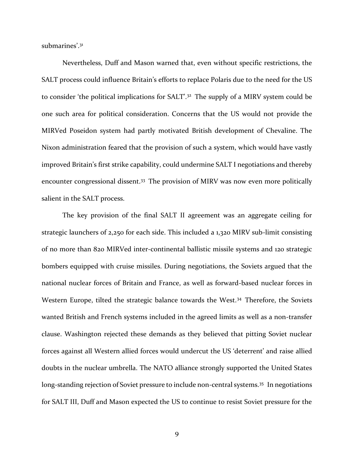submarines'. 31

Nevertheless, Duff and Mason warned that, even without specific restrictions, the SALT process could influence Britain's efforts to replace Polaris due to the need for the US to consider 'the political implications for SALT'.<sup>32</sup> The supply of a MIRV system could be one such area for political consideration. Concerns that the US would not provide the MIRVed Poseidon system had partly motivated British development of Chevaline. The Nixon administration feared that the provision of such a system, which would have vastly improved Britain's first strike capability, could undermine SALT I negotiations and thereby encounter congressional dissent.<sup>33</sup> The provision of MIRV was now even more politically salient in the SALT process.

The key provision of the final SALT II agreement was an aggregate ceiling for strategic launchers of 2,250 for each side. This included a 1,320 MIRV sub-limit consisting of no more than 820 MIRVed inter-continental ballistic missile systems and 120 strategic bombers equipped with cruise missiles. During negotiations, the Soviets argued that the national nuclear forces of Britain and France, as well as forward-based nuclear forces in Western Europe, tilted the strategic balance towards the West.<sup>34</sup> Therefore, the Soviets wanted British and French systems included in the agreed limits as well as a non-transfer clause. Washington rejected these demands as they believed that pitting Soviet nuclear forces against all Western allied forces would undercut the US 'deterrent' and raise allied doubts in the nuclear umbrella. The NATO alliance strongly supported the United States long-standing rejection of Soviet pressure to include non-central systems.<sup>35</sup> In negotiations for SALT III, Duff and Mason expected the US to continue to resist Soviet pressure for the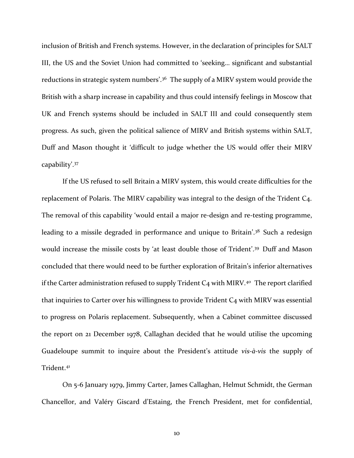inclusion of British and French systems. However, in the declaration of principles for SALT III, the US and the Soviet Union had committed to 'seeking… significant and substantial reductions in strategic system numbers'.<sup>36</sup> The supply of a MIRV system would provide the British with a sharp increase in capability and thus could intensify feelings in Moscow that UK and French systems should be included in SALT III and could consequently stem progress. As such, given the political salience of MIRV and British systems within SALT, Duff and Mason thought it 'difficult to judge whether the US would offer their MIRV capability'. 37

If the US refused to sell Britain a MIRV system, this would create difficulties for the replacement of Polaris. The MIRV capability was integral to the design of the Trident C4. The removal of this capability 'would entail a major re-design and re-testing programme, leading to a missile degraded in performance and unique to Britain'.<sup>38</sup> Such a redesign would increase the missile costs by 'at least double those of Trident'. <sup>39</sup> Duff and Mason concluded that there would need to be further exploration of Britain's inferior alternatives if the Carter administration refused to supply Trident  $C_4$  with MIRV.<sup>40</sup> The report clarified that inquiries to Carter over his willingness to provide Trident C4 with MIRV was essential to progress on Polaris replacement. Subsequently, when a Cabinet committee discussed the report on 21 December 1978, Callaghan decided that he would utilise the upcoming Guadeloupe summit to inquire about the President's attitude *vis-à-vis* the supply of Trident.<sup>41</sup>

On 5-6 January 1979, Jimmy Carter, James Callaghan, Helmut Schmidt, the German Chancellor, and Valéry Giscard d'Estaing, the French President, met for confidential,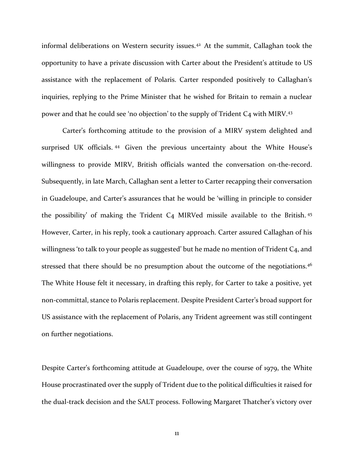informal deliberations on Western security issues.<sup>42</sup> At the summit, Callaghan took the opportunity to have a private discussion with Carter about the President's attitude to US assistance with the replacement of Polaris. Carter responded positively to Callaghan's inquiries, replying to the Prime Minister that he wished for Britain to remain a nuclear power and that he could see 'no objection' to the supply of Trident C4 with MIRV.<sup>43</sup>

Carter's forthcoming attitude to the provision of a MIRV system delighted and surprised UK officials. <sup>44</sup> Given the previous uncertainty about the White House's willingness to provide MIRV, British officials wanted the conversation on-the-record. Subsequently, in late March, Callaghan sent a letter to Carter recapping their conversation in Guadeloupe, and Carter's assurances that he would be 'willing in principle to consider the possibility' of making the Trident C4 MIRVed missile available to the British. <sup>45</sup> However, Carter, in his reply, took a cautionary approach. Carter assured Callaghan of his willingness 'to talk to your people as suggested' but he made no mention of Trident  $C_4$ , and stressed that there should be no presumption about the outcome of the negotiations.<sup>46</sup> The White House felt it necessary, in drafting this reply, for Carter to take a positive, yet non-committal, stance to Polaris replacement. Despite President Carter's broad support for US assistance with the replacement of Polaris, any Trident agreement was still contingent on further negotiations.

Despite Carter's forthcoming attitude at Guadeloupe, over the course of 1979, the White House procrastinated over the supply of Trident due to the political difficulties it raised for the dual-track decision and the SALT process. Following Margaret Thatcher's victory over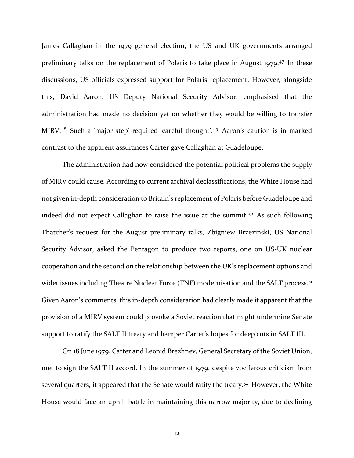James Callaghan in the 1979 general election, the US and UK governments arranged preliminary talks on the replacement of Polaris to take place in August 1979.<sup>47</sup> In these discussions, US officials expressed support for Polaris replacement. However, alongside this, David Aaron, US Deputy National Security Advisor, emphasised that the administration had made no decision yet on whether they would be willing to transfer MIRV.<sup>48</sup> Such a 'major step' required 'careful thought'. <sup>49</sup> Aaron's caution is in marked contrast to the apparent assurances Carter gave Callaghan at Guadeloupe.

The administration had now considered the potential political problems the supply of MIRV could cause. According to current archival declassifications, the White House had not given in-depth consideration to Britain's replacement of Polaris before Guadeloupe and indeed did not expect Callaghan to raise the issue at the summit.<sup>50</sup> As such following Thatcher's request for the August preliminary talks, Zbigniew Brzezinski, US National Security Advisor, asked the Pentagon to produce two reports, one on US-UK nuclear cooperation and the second on the relationship between the UK's replacement options and wider issues including Theatre Nuclear Force (TNF) modernisation and the SALT process.<sup>51</sup> Given Aaron's comments, this in-depth consideration had clearly made it apparent that the provision of a MIRV system could provoke a Soviet reaction that might undermine Senate support to ratify the SALT II treaty and hamper Carter's hopes for deep cuts in SALT III.

On 18 June 1979, Carter and Leonid Brezhnev, General Secretary of the Soviet Union, met to sign the SALT II accord. In the summer of 1979, despite vociferous criticism from several quarters, it appeared that the Senate would ratify the treaty.<sup>52</sup> However, the White House would face an uphill battle in maintaining this narrow majority, due to declining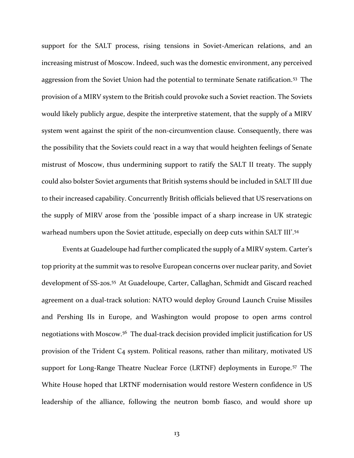support for the SALT process, rising tensions in Soviet-American relations, and an increasing mistrust of Moscow. Indeed, such was the domestic environment, any perceived aggression from the Soviet Union had the potential to terminate Senate ratification.<sup>53</sup> The provision of a MIRV system to the British could provoke such a Soviet reaction. The Soviets would likely publicly argue, despite the interpretive statement, that the supply of a MIRV system went against the spirit of the non-circumvention clause. Consequently, there was the possibility that the Soviets could react in a way that would heighten feelings of Senate mistrust of Moscow, thus undermining support to ratify the SALT II treaty. The supply could also bolster Soviet arguments that British systems should be included in SALT III due to their increased capability. Concurrently British officials believed that US reservations on the supply of MIRV arose from the 'possible impact of a sharp increase in UK strategic warhead numbers upon the Soviet attitude, especially on deep cuts within SALT III'. 54

Events at Guadeloupe had further complicated the supply of a MIRV system. Carter's top priority at the summit was to resolve European concerns over nuclear parity, and Soviet development of SS-20s.<sup>55</sup> At Guadeloupe, Carter, Callaghan, Schmidt and Giscard reached agreement on a dual-track solution: NATO would deploy Ground Launch Cruise Missiles and Pershing IIs in Europe, and Washington would propose to open arms control negotiations with Moscow.<sup>56</sup> The dual-track decision provided implicit justification for US provision of the Trident C4 system. Political reasons, rather than military, motivated US support for Long-Range Theatre Nuclear Force (LRTNF) deployments in Europe.<sup>57</sup> The White House hoped that LRTNF modernisation would restore Western confidence in US leadership of the alliance, following the neutron bomb fiasco, and would shore up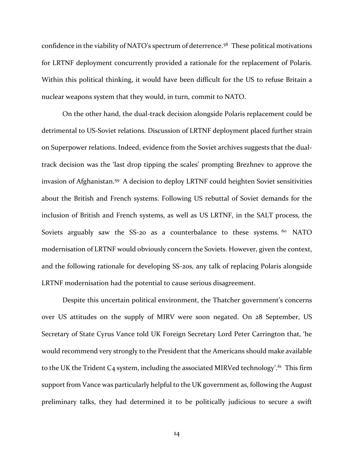confidence in the viability of NATO's spectrum of deterrence.<sup>58</sup> These political motivations for LRTNF deployment concurrently provided a rationale for the replacement of Polaris. Within this political thinking, it would have been difficult for the US to refuse Britain a nuclear weapons system that they would, in turn, commit to NATO.

On the other hand, the dual-track decision alongside Polaris replacement could be detrimental to US-Soviet relations. Discussion of LRTNF deployment placed further strain on Superpower relations. Indeed, evidence from the Soviet archives suggests that the dualtrack decision was the 'last drop tipping the scales' prompting Brezhnev to approve the invasion of Afghanistan.<sup>59</sup> A decision to deploy LRTNF could heighten Soviet sensitivities about the British and French systems. Following US rebuttal of Soviet demands for the inclusion of British and French systems, as well as US LRTNF, in the SALT process, the Soviets arguably saw the SS-20 as a counterbalance to these systems.  $60$  NATO modernisation of LRTNF would obviously concern the Soviets. However, given the context, and the following rationale for developing SS-20s, any talk of replacing Polaris alongside LRTNF modernisation had the potential to cause serious disagreement.

Despite this uncertain political environment, the Thatcher government's concerns over US attitudes on the supply of MIRV were soon negated. On 28 September, US Secretary of State Cyrus Vance told UK Foreign Secretary Lord Peter Carrington that, 'he would recommend very strongly to the President that the Americans should make available to the UK the Trident C4 system, including the associated MIRVed technology'.<sup>61</sup> This firm support from Vance was particularly helpful to the UK government as, following the August preliminary talks, they had determined it to be politically judicious to secure a swift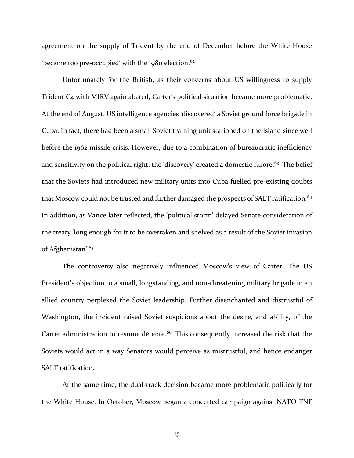agreement on the supply of Trident by the end of December before the White House 'became too pre-occupied' with the 1980 election.<sup>62</sup>

Unfortunately for the British, as their concerns about US willingness to supply Trident C4 with MIRV again abated, Carter's political situation became more problematic. At the end of August, US intelligence agencies 'discovered' a Soviet ground force brigade in Cuba. In fact, there had been a small Soviet training unit stationed on the island since well before the 1962 missile crisis. However, due to a combination of bureaucratic inefficiency and sensitivity on the political right, the 'discovery' created a domestic furore.<sup>63</sup> The belief that the Soviets had introduced new military units into Cuba fuelled pre-existing doubts that Moscow could not be trusted and further damaged the prospects of SALT ratification.<sup>64</sup> In addition, as Vance later reflected, the 'political storm' delayed Senate consideration of the treaty 'long enough for it to be overtaken and shelved as a result of the Soviet invasion of Afghanistan'. 65

The controversy also negatively influenced Moscow's view of Carter. The US President's objection to a small, longstanding, and non-threatening military brigade in an allied country perplexed the Soviet leadership. Further disenchanted and distrustful of Washington, the incident raised Soviet suspicions about the desire, and ability, of the Carter administration to resume détente.<sup>66</sup> This consequently increased the risk that the Soviets would act in a way Senators would perceive as mistrustful, and hence endanger SALT ratification.

At the same time, the dual-track decision became more problematic politically for the White House. In October, Moscow began a concerted campaign against NATO TNF

15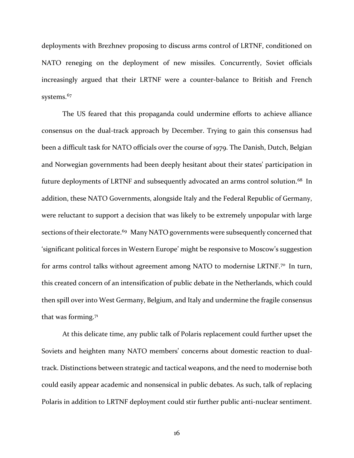deployments with Brezhnev proposing to discuss arms control of LRTNF, conditioned on NATO reneging on the deployment of new missiles. Concurrently, Soviet officials increasingly argued that their LRTNF were a counter-balance to British and French systems.<sup>67</sup>

The US feared that this propaganda could undermine efforts to achieve alliance consensus on the dual-track approach by December. Trying to gain this consensus had been a difficult task for NATO officials over the course of 1979. The Danish, Dutch, Belgian and Norwegian governments had been deeply hesitant about their states' participation in future deployments of LRTNF and subsequently advocated an arms control solution.<sup>68</sup> In addition, these NATO Governments, alongside Italy and the Federal Republic of Germany, were reluctant to support a decision that was likely to be extremely unpopular with large sections of their electorate.<sup>69</sup> Many NATO governments were subsequently concerned that 'significant political forces in Western Europe' might be responsive to Moscow's suggestion for arms control talks without agreement among NATO to modernise LRTNF.<sup>70</sup> In turn, this created concern of an intensification of public debate in the Netherlands, which could then spill over into West Germany, Belgium, and Italy and undermine the fragile consensus that was forming.<sup>71</sup>

At this delicate time, any public talk of Polaris replacement could further upset the Soviets and heighten many NATO members' concerns about domestic reaction to dualtrack. Distinctions between strategic and tactical weapons, and the need to modernise both could easily appear academic and nonsensical in public debates. As such, talk of replacing Polaris in addition to LRTNF deployment could stir further public anti-nuclear sentiment.

16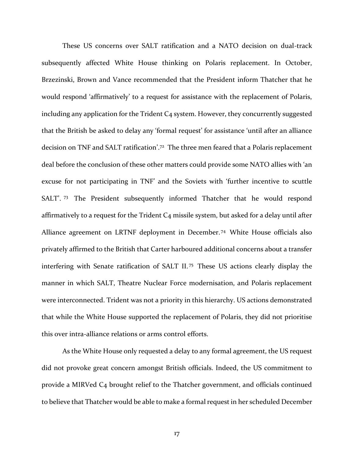These US concerns over SALT ratification and a NATO decision on dual-track subsequently affected White House thinking on Polaris replacement. In October, Brzezinski, Brown and Vance recommended that the President inform Thatcher that he would respond 'affirmatively' to a request for assistance with the replacement of Polaris, including any application for the Trident  $C_4$  system. However, they concurrently suggested that the British be asked to delay any 'formal request' for assistance 'until after an alliance decision on TNF and SALT ratification'. <sup>72</sup> The three men feared that a Polaris replacement deal before the conclusion of these other matters could provide some NATO allies with 'an excuse for not participating in TNF' and the Soviets with 'further incentive to scuttle SALT'. <sup>73</sup> The President subsequently informed Thatcher that he would respond affirmatively to a request for the Trident C4 missile system, but asked for a delay until after Alliance agreement on LRTNF deployment in December. <sup>74</sup> White House officials also privately affirmed to the British that Carter harboured additional concerns about a transfer interfering with Senate ratification of SALT II. <sup>75</sup> These US actions clearly display the manner in which SALT, Theatre Nuclear Force modernisation, and Polaris replacement were interconnected. Trident was not a priority in this hierarchy. US actions demonstrated that while the White House supported the replacement of Polaris, they did not prioritise this over intra-alliance relations or arms control efforts.

As the White House only requested a delay to any formal agreement, the US request did not provoke great concern amongst British officials. Indeed, the US commitment to provide a MIRVed C4 brought relief to the Thatcher government, and officials continued to believe that Thatcher would be able to make a formal request in her scheduled December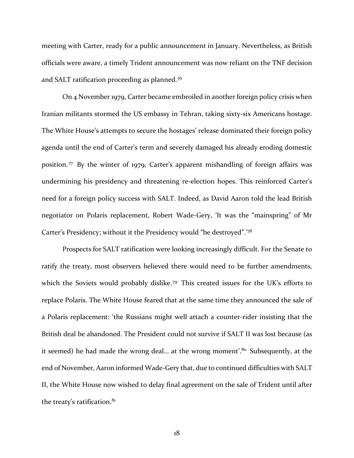meeting with Carter, ready for a public announcement in January. Nevertheless, as British officials were aware, a timely Trident announcement was now reliant on the TNF decision and SALT ratification proceeding as planned.<sup>76</sup>

On 4 November 1979, Carter became embroiled in another foreign policy crisis when Iranian militants stormed the US embassy in Tehran, taking sixty-six Americans hostage. The White House's attempts to secure the hostages' release dominated their foreign policy agenda until the end of Carter's term and severely damaged his already eroding domestic position. <sup>77</sup> By the winter of 1979, Carter's apparent mishandling of foreign affairs was undermining his presidency and threatening re-election hopes. This reinforced Carter's need for a foreign policy success with SALT. Indeed, as David Aaron told the lead British negotiator on Polaris replacement, Robert Wade-Gery, 'It was the "mainspring" of Mr Carter's Presidency; without it the Presidency would "be destroyed".'<sup>78</sup>

Prospects for SALT ratification were looking increasingly difficult. For the Senate to ratify the treaty, most observers believed there would need to be further amendments, which the Soviets would probably dislike.<sup>79</sup> This created issues for the UK's efforts to replace Polaris. The White House feared that at the same time they announced the sale of a Polaris replacement: 'the Russians might well attach a counter-rider insisting that the British deal be abandoned. The President could not survive if SALT II was lost because (as it seemed) he had made the wrong deal… at the wrong moment'. <sup>80</sup> Subsequently, at the end of November, Aaron informed Wade-Gery that, due to continued difficulties with SALT II, the White House now wished to delay final agreement on the sale of Trident until after the treaty's ratification.<sup>81</sup>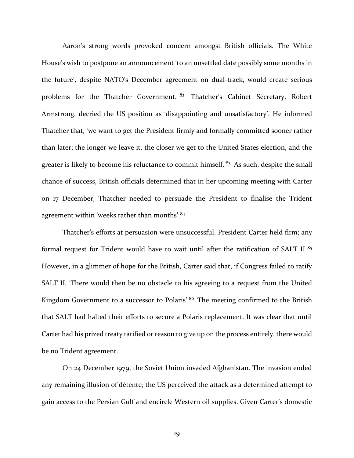Aaron's strong words provoked concern amongst British officials. The White House's wish to postpone an announcement 'to an unsettled date possibly some months in the future', despite NATO's December agreement on dual-track, would create serious problems for the Thatcher Government. <sup>82</sup> Thatcher's Cabinet Secretary, Robert Armstrong, decried the US position as 'disappointing and unsatisfactory'. He informed Thatcher that, 'we want to get the President firmly and formally committed sooner rather than later; the longer we leave it, the closer we get to the United States election, and the greater is likely to become his reluctance to commit himself.'83 As such, despite the small chance of success, British officials determined that in her upcoming meeting with Carter on 17 December, Thatcher needed to persuade the President to finalise the Trident agreement within 'weeks rather than months'.<sup>84</sup>

Thatcher's efforts at persuasion were unsuccessful. President Carter held firm; any formal request for Trident would have to wait until after the ratification of SALT II.<sup>85</sup> However, in a glimmer of hope for the British, Carter said that, if Congress failed to ratify SALT II, 'There would then be no obstacle to his agreeing to a request from the United Kingdom Government to a successor to Polaris'.<sup>86</sup> The meeting confirmed to the British that SALT had halted their efforts to secure a Polaris replacement. It was clear that until Carter had his prized treaty ratified or reason to give up on the process entirely, there would be no Trident agreement.

On 24 December 1979, the Soviet Union invaded Afghanistan. The invasion ended any remaining illusion of détente; the US perceived the attack as a determined attempt to gain access to the Persian Gulf and encircle Western oil supplies. Given Carter's domestic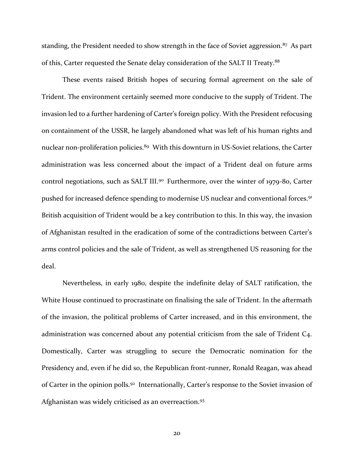standing, the President needed to show strength in the face of Soviet aggression.<sup>87</sup> As part of this, Carter requested the Senate delay consideration of the SALT II Treaty.<sup>88</sup>

These events raised British hopes of securing formal agreement on the sale of Trident. The environment certainly seemed more conducive to the supply of Trident. The invasion led to a further hardening of Carter's foreign policy. With the President refocusing on containment of the USSR, he largely abandoned what was left of his human rights and nuclear non-proliferation policies.<sup>89</sup> With this downturn in US-Soviet relations, the Carter administration was less concerned about the impact of a Trident deal on future arms control negotiations, such as SALT III.<sup>90</sup> Furthermore, over the winter of 1979-80, Carter pushed for increased defence spending to modernise US nuclear and conventional forces.<sup>91</sup> British acquisition of Trident would be a key contribution to this. In this way, the invasion of Afghanistan resulted in the eradication of some of the contradictions between Carter's arms control policies and the sale of Trident, as well as strengthened US reasoning for the deal.

Nevertheless, in early 1980, despite the indefinite delay of SALT ratification, the White House continued to procrastinate on finalising the sale of Trident. In the aftermath of the invasion, the political problems of Carter increased, and in this environment, the administration was concerned about any potential criticism from the sale of Trident C4. Domestically, Carter was struggling to secure the Democratic nomination for the Presidency and, even if he did so, the Republican front-runner, Ronald Reagan, was ahead of Carter in the opinion polls.<sup>92</sup> Internationally, Carter's response to the Soviet invasion of Afghanistan was widely criticised as an overreaction.<sup>93</sup>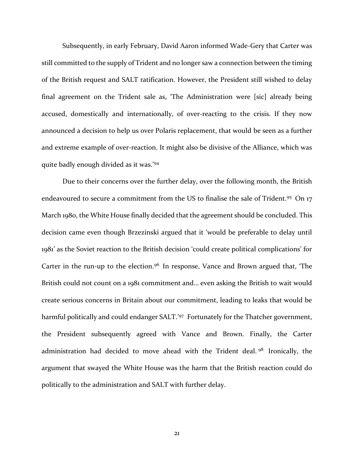Subsequently, in early February, David Aaron informed Wade-Gery that Carter was still committed to the supply of Trident and no longer saw a connection between the timing of the British request and SALT ratification. However, the President still wished to delay final agreement on the Trident sale as, 'The Administration were [sic] already being accused, domestically and internationally, of over-reacting to the crisis. If they now announced a decision to help us over Polaris replacement, that would be seen as a further and extreme example of over-reaction. It might also be divisive of the Alliance, which was quite badly enough divided as it was.'<sup>94</sup>

Due to their concerns over the further delay, over the following month, the British endeavoured to secure a commitment from the US to finalise the sale of Trident.<sup>95</sup> On 17 March 1980, the White House finally decided that the agreement should be concluded. This decision came even though Brzezinski argued that it 'would be preferable to delay until 1981' as the Soviet reaction to the British decision 'could create political complications' for Carter in the run-up to the election.<sup>96</sup> In response, Vance and Brown argued that, 'The British could not count on a 1981 commitment and… even asking the British to wait would create serious concerns in Britain about our commitment, leading to leaks that would be harmful politically and could endanger SALT.'97 Fortunately for the Thatcher government, the President subsequently agreed with Vance and Brown. Finally, the Carter administration had decided to move ahead with the Trident deal. <sup>98</sup> Ironically, the argument that swayed the White House was the harm that the British reaction could do politically to the administration and SALT with further delay.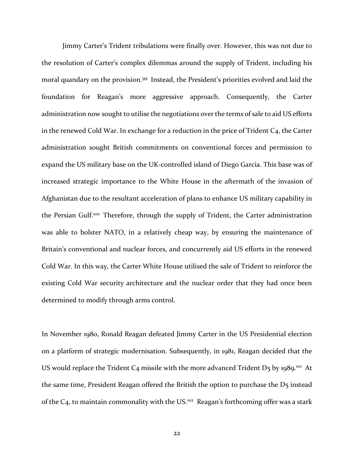Jimmy Carter's Trident tribulations were finally over. However, this was not due to the resolution of Carter's complex dilemmas around the supply of Trident, including his moral quandary on the provision.<sup>99</sup> Instead, the President's priorities evolved and laid the foundation for Reagan's more aggressive approach. Consequently, the Carter administration now sought to utilise the negotiations over the terms of sale to aid US efforts in the renewed Cold War. In exchange for a reduction in the price of Trident C<sub>4</sub>, the Carter administration sought British commitments on conventional forces and permission to expand the US military base on the UK-controlled island of Diego Garcia. This base was of increased strategic importance to the White House in the aftermath of the invasion of Afghanistan due to the resultant acceleration of plans to enhance US military capability in the Persian Gulf.<sup>100</sup> Therefore, through the supply of Trident, the Carter administration was able to bolster NATO, in a relatively cheap way, by ensuring the maintenance of Britain's conventional and nuclear forces, and concurrently aid US efforts in the renewed Cold War. In this way, the Carter White House utilised the sale of Trident to reinforce the existing Cold War security architecture and the nuclear order that they had once been determined to modify through arms control.

In November 1980, Ronald Reagan defeated Jimmy Carter in the US Presidential election on a platform of strategic modernisation. Subsequently, in 1981, Reagan decided that the US would replace the Trident C<sub>4</sub> missile with the more advanced Trident D<sub>5</sub> by 1989.<sup>101</sup> At the same time, President Reagan offered the British the option to purchase the D5 instead of the C4, to maintain commonality with the US.<sup>102</sup> Reagan's forthcoming offer was a stark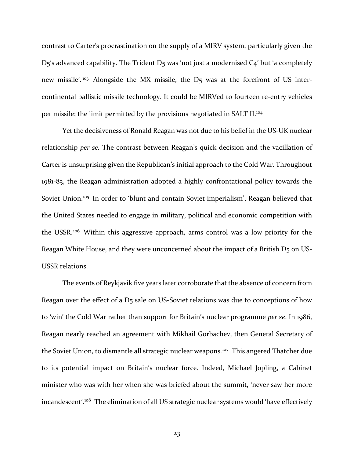contrast to Carter's procrastination on the supply of a MIRV system, particularly given the D5's advanced capability. The Trident D5 was 'not just a modernised C4' but 'a completely new missile'.<sup>103</sup> Alongside the MX missile, the D5 was at the forefront of US intercontinental ballistic missile technology. It could be MIRVed to fourteen re-entry vehicles per missile; the limit permitted by the provisions negotiated in SALT II.<sup>104</sup>

Yet the decisiveness of Ronald Reagan was not due to his belief in the US-UK nuclear relationship *per se.* The contrast between Reagan's quick decision and the vacillation of Carter is unsurprising given the Republican's initial approach to the Cold War. Throughout 1981-83, the Reagan administration adopted a highly confrontational policy towards the Soviet Union.<sup>105</sup> In order to 'blunt and contain Soviet imperialism', Reagan believed that the United States needed to engage in military, political and economic competition with the USSR.<sup>106</sup> Within this aggressive approach, arms control was a low priority for the Reagan White House, and they were unconcerned about the impact of a British D5 on US-USSR relations.

The events of Reykjavik five years later corroborate that the absence of concern from Reagan over the effect of a D5 sale on US-Soviet relations was due to conceptions of how to 'win' the Cold War rather than support for Britain's nuclear programme *per se*. In 1986, Reagan nearly reached an agreement with Mikhail Gorbachev, then General Secretary of the Soviet Union, to dismantle all strategic nuclear weapons.<sup>107</sup> This angered Thatcher due to its potential impact on Britain's nuclear force. Indeed, Michael Jopling, a Cabinet minister who was with her when she was briefed about the summit, 'never saw her more incandescent'. <sup>108</sup> The elimination of all US strategic nuclear systems would 'have effectively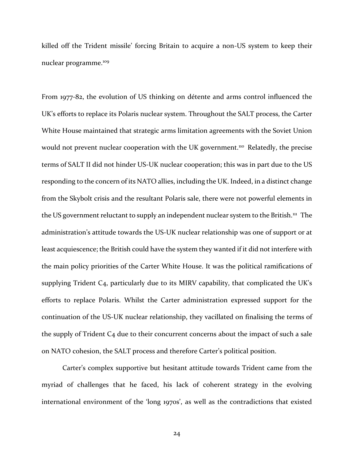killed off the Trident missile' forcing Britain to acquire a non-US system to keep their nuclear programme.<sup>109</sup>

From 1977-82, the evolution of US thinking on détente and arms control influenced the UK's efforts to replace its Polaris nuclear system. Throughout the SALT process, the Carter White House maintained that strategic arms limitation agreements with the Soviet Union would not prevent nuclear cooperation with the UK government.<sup>110</sup> Relatedly, the precise terms of SALT II did not hinder US-UK nuclear cooperation; this was in part due to the US responding to the concern of its NATO allies, including the UK. Indeed, in a distinct change from the Skybolt crisis and the resultant Polaris sale, there were not powerful elements in the US government reluctant to supply an independent nuclear system to the British.<sup>111</sup> The administration's attitude towards the US-UK nuclear relationship was one of support or at least acquiescence; the British could have the system they wanted if it did not interfere with the main policy priorities of the Carter White House. It was the political ramifications of supplying Trident C4, particularly due to its MIRV capability, that complicated the UK's efforts to replace Polaris. Whilst the Carter administration expressed support for the continuation of the US-UK nuclear relationship, they vacillated on finalising the terms of the supply of Trident  $C_4$  due to their concurrent concerns about the impact of such a sale on NATO cohesion, the SALT process and therefore Carter's political position.

Carter's complex supportive but hesitant attitude towards Trident came from the myriad of challenges that he faced, his lack of coherent strategy in the evolving international environment of the 'long 1970s', as well as the contradictions that existed

24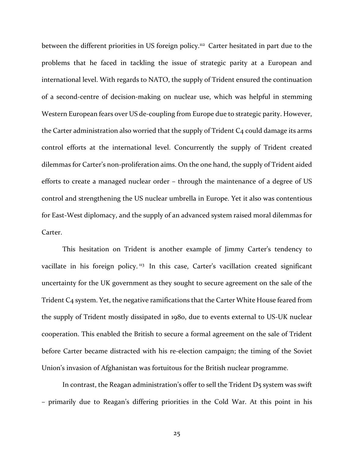between the different priorities in US foreign policy.<sup>112</sup> Carter hesitated in part due to the problems that he faced in tackling the issue of strategic parity at a European and international level. With regards to NATO, the supply of Trident ensured the continuation of a second-centre of decision-making on nuclear use, which was helpful in stemming Western European fears over US de-coupling from Europe due to strategic parity. However, the Carter administration also worried that the supply of Trident C<sub>4</sub> could damage its arms control efforts at the international level. Concurrently the supply of Trident created dilemmas for Carter's non-proliferation aims. On the one hand, the supply of Trident aided efforts to create a managed nuclear order – through the maintenance of a degree of US control and strengthening the US nuclear umbrella in Europe. Yet it also was contentious for East-West diplomacy, and the supply of an advanced system raised moral dilemmas for Carter.

This hesitation on Trident is another example of Jimmy Carter's tendency to vacillate in his foreign policy.<sup>113</sup> In this case, Carter's vacillation created significant uncertainty for the UK government as they sought to secure agreement on the sale of the Trident C4 system. Yet, the negative ramifications that the Carter White House feared from the supply of Trident mostly dissipated in 1980, due to events external to US-UK nuclear cooperation. This enabled the British to secure a formal agreement on the sale of Trident before Carter became distracted with his re-election campaign; the timing of the Soviet Union's invasion of Afghanistan was fortuitous for the British nuclear programme.

In contrast, the Reagan administration's offer to sell the Trident D<sub>5</sub> system was swift – primarily due to Reagan's differing priorities in the Cold War. At this point in his

25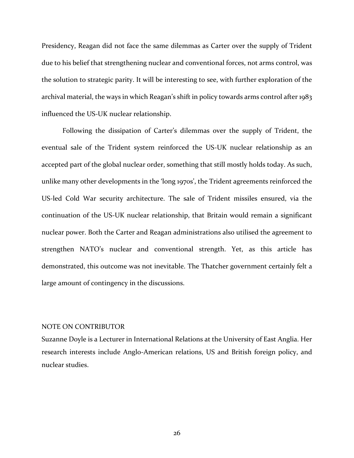Presidency, Reagan did not face the same dilemmas as Carter over the supply of Trident due to his belief that strengthening nuclear and conventional forces, not arms control, was the solution to strategic parity. It will be interesting to see, with further exploration of the archival material, the ways in which Reagan's shift in policy towards arms control after 1983 influenced the US-UK nuclear relationship.

Following the dissipation of Carter's dilemmas over the supply of Trident, the eventual sale of the Trident system reinforced the US-UK nuclear relationship as an accepted part of the global nuclear order, something that still mostly holds today. As such, unlike many other developments in the 'long 1970s', the Trident agreements reinforced the US-led Cold War security architecture. The sale of Trident missiles ensured, via the continuation of the US-UK nuclear relationship, that Britain would remain a significant nuclear power. Both the Carter and Reagan administrations also utilised the agreement to strengthen NATO's nuclear and conventional strength. Yet, as this article has demonstrated, this outcome was not inevitable. The Thatcher government certainly felt a large amount of contingency in the discussions.

## NOTE ON CONTRIBUTOR

Suzanne Doyle is a Lecturer in International Relations at the University of East Anglia. Her research interests include Anglo-American relations, US and British foreign policy, and nuclear studies.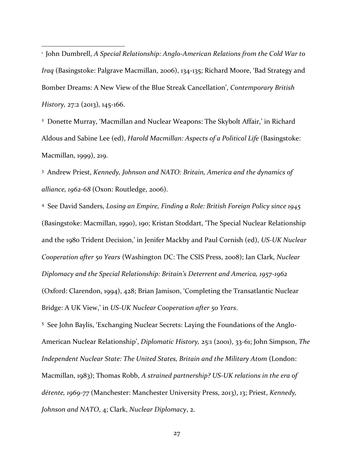<sup>1</sup> John Dumbrell, *A Special Relationship: Anglo-American Relations from the Cold War to Iraq* (Basingstoke: Palgrave Macmillan, 2006), 134-135; Richard Moore, 'Bad Strategy and Bomber Dreams: A New View of the Blue Streak Cancellation', *Contemporary British History,* 27:2 (2013)*,* 145-166.

 $\overline{\phantom{a}}$ 

<sup>2</sup> Donette Murray, 'Macmillan and Nuclear Weapons: The Skybolt Affair,' in Richard Aldous and Sabine Lee (ed), *Harold Macmillan: Aspects of a Political Life* (Basingstoke: Macmillan, 1999), 219.

<sup>3</sup> Andrew Priest, *Kennedy, Johnson and NATO: Britain, America and the dynamics of alliance, 1962-68* (Oxon: Routledge, 2006).

<sup>4</sup> See David Sanders, *Losing an Empire, Finding a Role: British Foreign Policy since 1945* (Basingstoke: Macmillan, 1990), 190; Kristan Stoddart, 'The Special Nuclear Relationship and the 1980 Trident Decision,' in Jenifer Mackby and Paul Cornish (ed), *US-UK Nuclear Cooperation after 50 Years* (Washington DC: The CSIS Press, 2008); Ian Clark, *Nuclear Diplomacy and the Special Relationship: Britain's Deterrent and America, 1957-1962* (Oxford: Clarendon, 1994), 428; Brian Jamison, 'Completing the Transatlantic Nuclear Bridge: A UK View,' in *US-UK Nuclear Cooperation after 50 Years*.

<sup>5</sup> See John Baylis, 'Exchanging Nuclear Secrets: Laying the Foundations of the Anglo-American Nuclear Relationship', *Diplomatic History,* 25:1 (2001), 33-61; John Simpson, *The Independent Nuclear State: The United States, Britain and the Military Atom* (London: Macmillan, 1983); Thomas Robb, *A strained partnership? US-UK relations in the era of détente, 1969-77* (Manchester: Manchester University Press, 2013), 13; Priest, *Kennedy, Johnson and NATO*, 4; Clark, *Nuclear Diplomacy*, 2.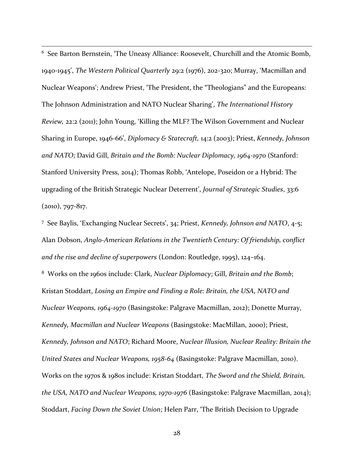<sup>6</sup> See Barton Bernstein, 'The Uneasy Alliance: Roosevelt, Churchill and the Atomic Bomb, 1940-1945', *The Western Political Quarterly* 29:2 (1976), 202-320; Murray, 'Macmillan and Nuclear Weapons'; Andrew Priest, 'The President, the "Theologians" and the Europeans: The Johnson Administration and NATO Nuclear Sharing', *The International History Review,* 22:2 (2011); John Young, 'Killing the MLF? The Wilson Government and Nuclear Sharing in Europe, 1946-66', *Diplomacy & Statecraft,* 14:2 (2003); Priest, *Kennedy, Johnson and NATO;* David Gill, *Britain and the Bomb: Nuclear Diplomacy, 1964-1970* (Stanford: Stanford University Press, 2014); Thomas Robb, 'Antelope, Poseidon or a Hybrid: The upgrading of the British Strategic Nuclear Deterrent', *Journal of Strategic Studies*, 33:6  $(2010)$ , 797-817.

 $\overline{\phantom{a}}$ 

<sup>7</sup> See Baylis, 'Exchanging Nuclear Secrets', 34; Priest, *Kennedy, Johnson and NATO*, 4-5; Alan Dobson, *Anglo-American Relations in the Twentieth Century: Of friendship, conflict and the rise and decline of superpowers* (London: Routledge, 1995), 124–164. <sup>8</sup> Works on the 1960s include: Clark, *Nuclear Diplomacy*; Gill, *Britain and the Bomb*; Kristan Stoddart, *Losing an Empire and Finding a Role: Britain, the USA, NATO and Nuclear Weapons, 1964-1970* (Basingstoke: Palgrave Macmillan, 2012); Donette Murray, *Kennedy, Macmillan and Nuclear Weapons* (Basingstoke: MacMillan, 2000); Priest,

*Kennedy, Johnson and NATO*; Richard Moore, *Nuclear Illusion, Nuclear Reality: Britain the United States and Nuclear Weapons, 1958-64* (Basingstoke: Palgrave Macmillan, 2010). Works on the 1970s & 1980s include: Kristan Stoddart, *The Sword and the Shield, Britain, the USA, NATO and Nuclear Weapons, 1970-1976* (Basingstoke: Palgrave Macmillan, 2014); Stoddart, *Facing Down the Soviet Union;* Helen Parr, 'The British Decision to Upgrade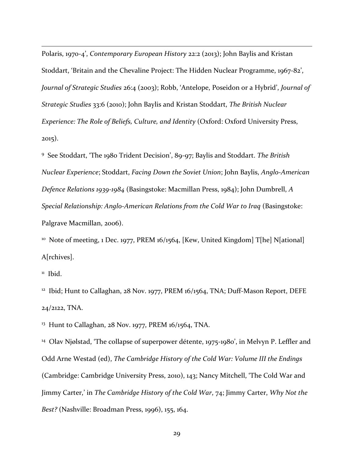Polaris, 1970-4', *Contemporary European History* 22:2 (2013); John Baylis and Kristan Stoddart, 'Britain and the Chevaline Project: The Hidden Nuclear Programme, 1967-82', *Journal of Strategic Studies* 26:4 (2003); Robb, 'Antelope, Poseidon or a Hybrid', *Journal of Strategic Studies* 33:6 (2010); John Baylis and Kristan Stoddart, *The British Nuclear Experience: The Role of Beliefs, Culture, and Identity* (Oxford: Oxford University Press, 2015).

<sup>9</sup> See Stoddart, 'The 1980 Trident Decision', 89-97; Baylis and Stoddart. *The British Nuclear Experience*; Stoddart, *Facing Down the Soviet Union*; John Baylis, *Anglo-American Defence Relations 1939-1984* (Basingstoke: Macmillan Press, 1984); John Dumbrell, *A Special Relationship: Anglo-American Relations from the Cold War to Iraq* (Basingstoke: Palgrave Macmillan, 2006).

<sup>10</sup> Note of meeting, 1 Dec. 1977, PREM 16/1564, [Kew, United Kingdom] T[he] N[ational] A[rchives].

<sup>11</sup> Ibid.

 $\overline{\phantom{a}}$ 

<sup>12</sup> Ibid; Hunt to Callaghan, 28 Nov. 1977, PREM 16/1564, TNA; Duff-Mason Report, DEFE 24/2122, TNA.

<sup>13</sup> Hunt to Callaghan, 28 Nov. 1977, PREM 16/1564, TNA.

<sup>14</sup> Olav Njølstad, 'The collapse of superpower détente, 1975-1980', in Melvyn P. Leffler and Odd Arne Westad (ed), *The Cambridge History of the Cold War: Volume III the Endings* (Cambridge: Cambridge University Press, 2010), 143; Nancy Mitchell, 'The Cold War and Jimmy Carter,' in *The Cambridge History of the Cold War*, 74; Jimmy Carter, *Why Not the Best?* (Nashville: Broadman Press, 1996), 155, 164.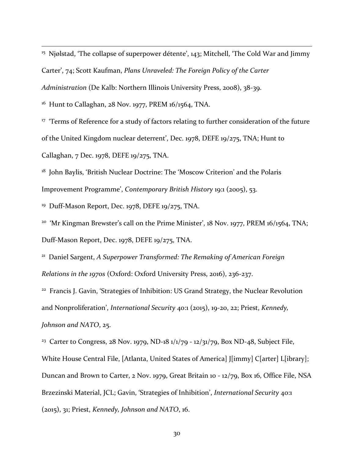<sup>15</sup> Njølstad, 'The collapse of superpower détente', 143; Mitchell, 'The Cold War and Jimmy Carter', 74; Scott Kaufman, *Plans Unraveled: The Foreign Policy of the Carter Administration* (De Kalb: Northern Illinois University Press, 2008), 38-39.

<sup>16</sup> Hunt to Callaghan, 28 Nov. 1977, PREM 16/1564, TNA.

 $\overline{\phantom{a}}$ 

<sup>17</sup> 'Terms of Reference for a study of factors relating to further consideration of the future of the United Kingdom nuclear deterrent', Dec. 1978, DEFE 19/275, TNA; Hunt to Callaghan, 7 Dec. 1978, DEFE 19/275, TNA.

<sup>18</sup> John Baylis, 'British Nuclear Doctrine: The 'Moscow Criterion' and the Polaris Improvement Programme', *Contemporary British History* 19:1 (2005), 53.

<sup>19</sup> Duff-Mason Report, Dec. 1978, DEFE 19/275, TNA.

<sup>20</sup> 'Mr Kingman Brewster's call on the Prime Minister', 18 Nov. 1977, PREM 16/1564, TNA; Duff-Mason Report, Dec. 1978, DEFE 19/275, TNA.

<sup>21</sup> Daniel Sargent, *A Superpower Transformed: The Remaking of American Foreign Relations in the 1970s* (Oxford: Oxford University Press, 2016), 236-237.

<sup>22</sup> Francis J. Gavin, 'Strategies of Inhibition: US Grand Strategy, the Nuclear Revolution and Nonproliferation', *International Security* 40:1 (2015), 19-20, 22; Priest, *Kennedy, Johnson and NATO*, 25.

<sup>23</sup> Carter to Congress, 28 Nov. 1979, ND-18 1/1/79 - 12/31/79, Box ND-48, Subject File, White House Central File, [Atlanta, United States of America] J[immy] C[arter] L[ibrary]; Duncan and Brown to Carter, 2 Nov. 1979, Great Britain 10 - 12/79, Box 16, Office File, NSA Brzezinski Material, JCL; Gavin, 'Strategies of Inhibition', *International Security* 40:1 (2015), 31; Priest, *Kennedy, Johnson and NATO*, 16.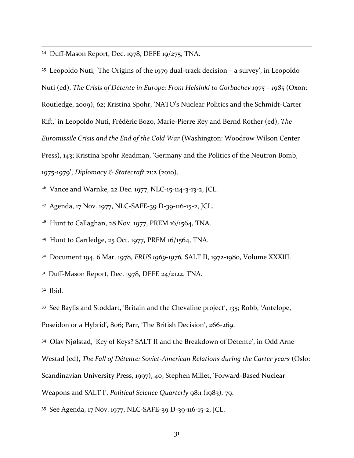<sup>24</sup> Duff-Mason Report, Dec. 1978, DEFE 19/275, TNA.

<sup>25</sup> Leopoldo Nuti, 'The Origins of the 1979 dual-track decision – a survey', in Leopoldo Nuti (ed), *The Crisis of Détente in Europe: From Helsinki to Gorbachev 1975 – 1985* (Oxon: Routledge, 2009), 62; Kristina Spohr, 'NATO's Nuclear Politics and the Schmidt-Carter Rift,' in Leopoldo Nuti, Frédéric Bozo, Marie-Pierre Rey and Bernd Rother (ed), *The Euromissile Crisis and the End of the Cold War* (Washington: Woodrow Wilson Center Press), 143; Kristina Spohr Readman, 'Germany and the Politics of the Neutron Bomb, 1975-1979', *Diplomacy & Statecraft* 21:2 (2010).

<sup>26</sup> Vance and Warnke, 22 Dec. 1977, NLC-15-114-3-13-2, JCL.

<sup>27</sup> Agenda, 17 Nov. 1977, NLC-SAFE-39 D-39-116-15-2, JCL.

<sup>28</sup> Hunt to Callaghan, 28 Nov. 1977, PREM 16/1564, TNA.

<sup>29</sup> Hunt to Cartledge, 25 Oct. 1977, PREM 16/1564, TNA.

<sup>30</sup> Document 194, 6 Mar. 1978, *FRUS 1969-1976,* SALT II, 1972-1980, Volume XXXIII.

<sup>31</sup> Duff-Mason Report, Dec. 1978, DEFE 24/2122, TNA.

 $32$  Ibid.

 $\overline{\phantom{a}}$ 

<sup>33</sup> See Baylis and Stoddart, 'Britain and the Chevaline project', 135; Robb, 'Antelope, Poseidon or a Hybrid', 806; Parr, 'The British Decision', 266-269.

<sup>34</sup> Olav Njølstad, 'Key of Keys? SALT II and the Breakdown of Détente', in Odd Arne

Westad (ed), *The Fall of Détente: Soviet-American Relations during the Carter years* (Oslo:

Scandinavian University Press, 1997), 40; Stephen Millet, 'Forward-Based Nuclear

Weapons and SALT I', *Political Science Quarterly* 98:1 (1983), 79.

<sup>35</sup> See Agenda, 17 Nov. 1977, NLC-SAFE-39 D-39-116-15-2, JCL.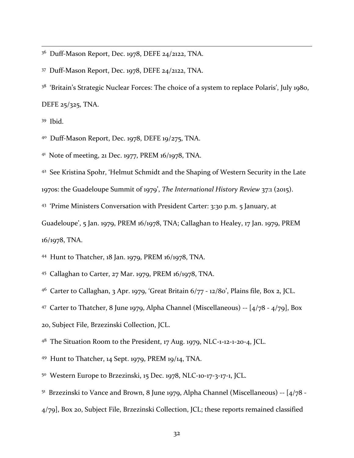<sup>36</sup> Duff-Mason Report, Dec. 1978, DEFE 24/2122, TNA.

<sup>37</sup> Duff-Mason Report, Dec. 1978, DEFE 24/2122, TNA.

<sup>38</sup> 'Britain's Strategic Nuclear Forces: The choice of a system to replace Polaris', July 1980, DEFE 25/325, TNA.

<sup>39</sup> Ibid.

 $\overline{\phantom{a}}$ 

<sup>40</sup> Duff-Mason Report, Dec. 1978, DEFE 19/275, TNA.

<sup>41</sup> Note of meeting, 21 Dec. 1977, PREM 16/1978, TNA.

<sup>42</sup> See Kristina Spohr, 'Helmut Schmidt and the Shaping of Western Security in the Late 1970s: the Guadeloupe Summit of 1979', *The International History Review* 37:1 (2015).

<sup>43</sup> 'Prime Ministers Conversation with President Carter: 3:30 p.m. 5 January, at

Guadeloupe', 5 Jan. 1979, PREM 16/1978, TNA; Callaghan to Healey, 17 Jan. 1979, PREM 16/1978, TNA.

<sup>44</sup> Hunt to Thatcher, 18 Jan. 1979, PREM 16/1978, TNA.

<sup>45</sup> Callaghan to Carter, 27 Mar. 1979, PREM 16/1978, TNA.

<sup>46</sup> Carter to Callaghan, 3 Apr. 1979, 'Great Britain 6/77 - 12/80', Plains file, Box 2, JCL.

<sup>47</sup> Carter to Thatcher, 8 June 1979, Alpha Channel (Miscellaneous)  $[4/78 - 4/79]$ , Box

20, Subject File, Brzezinski Collection, JCL.

<sup>48</sup> The Situation Room to the President, 17 Aug. 1979, NLC-1-12-1-20-4, JCL.

<sup>49</sup> Hunt to Thatcher, 14 Sept. 1979, PREM 19/14, TNA.

<sup>50</sup> Western Europe to Brzezinski, 15 Dec. 1978, NLC-10-17-3-17-1, JCL.

 $51$  Brzezinski to Vance and Brown, 8 June 1979, Alpha Channel (Miscellaneous) --  $\left[4/78 - 1\right]$ 

4/79], Box 20, Subject File, Brzezinski Collection, JCL; these reports remained classified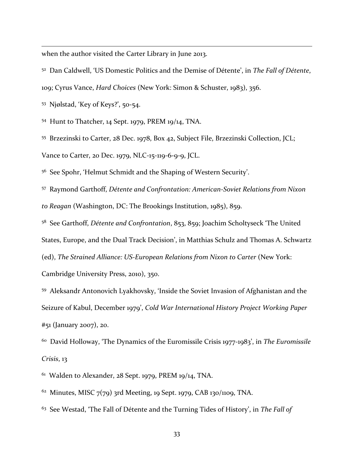when the author visited the Carter Library in June 2013.

<sup>52</sup> Dan Caldwell, 'US Domestic Politics and the Demise of Détente', in *The Fall of Détente*, 109; Cyrus Vance, *Hard Choices* (New York: Simon & Schuster, 1983), 356.

<sup>53</sup> Njølstad, 'Key of Keys?', 50-54.

 $\overline{\phantom{a}}$ 

<sup>54</sup> Hunt to Thatcher, 14 Sept. 1979, PREM 19/14, TNA.

<sup>55</sup> Brzezinski to Carter, 28 Dec. 1978, Box 42, Subject File, Brzezinski Collection, JCL; Vance to Carter, 20 Dec. 1979, NLC-15-119-6-9-9, JCL.

<sup>56</sup> See Spohr, 'Helmut Schmidt and the Shaping of Western Security'.

<sup>57</sup> Raymond Garthoff, *Détente and Confrontation: American-Soviet Relations from Nixon to Reagan* (Washington, DC: The Brookings Institution, 1985), 859.

<sup>58</sup> See Garthoff, *Détente and Confrontation*, 853, 859; Joachim Scholtyseck 'The United States, Europe, and the Dual Track Decision', in Matthias Schulz and Thomas A. Schwartz (ed), *The Strained Alliance: US-European Relations from Nixon to Carter* (New York: Cambridge University Press, 2010), 350.

<sup>59</sup> Aleksandr Antonovich Lyakhovsky, 'Inside the Soviet Invasion of Afghanistan and the Seizure of Kabul, December 1979', *Cold War International History Project Working Paper* #51 (January 2007), 20.

<sup>60</sup> David Holloway, 'The Dynamics of the Euromissile Crisis 1977-1983', in *The Euromissile Crisis*, 13

 $61$  Walden to Alexander, 28 Sept. 1979, PREM 19/14, TNA.

 $62$  Minutes, MISC  $7(79)$  3rd Meeting, 19 Sept. 1979, CAB 130/1109, TNA.

<sup>63</sup> See Westad, 'The Fall of Détente and the Turning Tides of History', in *The Fall of*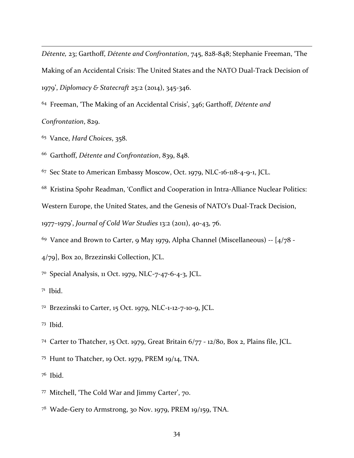*Détente,* 23; Garthoff, *Détente and Confrontation*, 745, 828-848; Stephanie Freeman, 'The Making of an Accidental Crisis: The United States and the NATO Dual-Track Decision of 1979', *Diplomacy & Statecraft* 25:2 (2014), 345-346.

 Freeman, 'The Making of an Accidental Crisis', 346; Garthoff, *Détente and Confrontation*, 829.

Vance, *Hard Choices*, 358.

Garthoff, *Détente and Confrontation*, 839, 848.

Sec State to American Embassy Moscow, Oct. 1979, NLC-16-118-4-9-1, JCL.

Kristina Spohr Readman, 'Conflict and Cooperation in Intra-Alliance Nuclear Politics:

Western Europe, the United States, and the Genesis of NATO's Dual-Track Decision,

–1979', *Journal of Cold War Studies* 13:2 (2011), 40-43, 76.

Vance and Brown to Carter, 9 May 1979, Alpha Channel (Miscellaneous) --  $[4/78$  -

4/79], Box 20, Brzezinski Collection, JCL.

Special Analysis, 11 Oct. 1979, NLC-7-47-6-4-3, JCL.

Ibid.

 $\overline{\phantom{a}}$ 

Brzezinski to Carter, 15 Oct. 1979, NLC-1-12-7-10-9, JCL.

Ibid.

Carter to Thatcher, 15 Oct. 1979, Great Britain 6/77 - 12/80, Box 2, Plains file, JCL.

Hunt to Thatcher, 19 Oct. 1979, PREM 19/14, TNA.

Ibid.

Mitchell, 'The Cold War and Jimmy Carter', 70.

Wade-Gery to Armstrong, 30 Nov. 1979, PREM 19/159, TNA.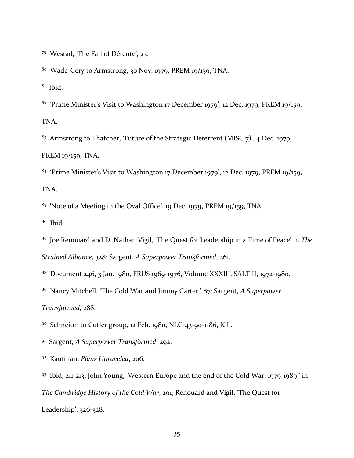Westad, 'The Fall of Détente', 23.

Wade-Gery to Armstrong, 30 Nov. 1979, PREM 19/159, TNA.

 $8<sup>1</sup>$  Ibid.

 $\overline{\phantom{a}}$ 

 'Prime Minister's Visit to Washington 17 December 1979', 12 Dec. 1979, PREM 19/159, TNA.

 Armstrong to Thatcher, 'Future of the Strategic Deterrent (MISC 7)', 4 Dec. 1979, PREM 19/159, TNA.

'Prime Minister's Visit to Washington 17 December 1979', 12 Dec. 1979, PREM 19/159,

TNA.

'Note of a Meeting in the Oval Office', 19 Dec. 1979, PREM 19/159, TNA.

Ibid.

 Joe Renouard and D. Nathan Vigil, 'The Quest for Leadership in a Time of Peace' in *The Strained Alliance*, 328; Sargent, *A Superpower Transformed*, 261.

Document 246, 3 Jan. 1980, FRUS 1969-1976, Volume XXXIII, SALT II, 1972-1980.

Nancy Mitchell, 'The Cold War and Jimmy Carter,' 87; Sargent, *A Superpower* 

*Transformed*, 288.

Schneiter to Cutler group, 12 Feb. 1980, NLC-43-90-1-86, JCL.

Sargent, *A Superpower Transformed*, 292.

Kaufman, *Plans Unraveled*, 206.

 Ibid, 211-213; John Young, 'Western Europe and the end of the Cold War, 1979-1989,' in *The Cambridge History of the Cold War*, 291; Renouard and Vigil, 'The Quest for Leadership', 326-328.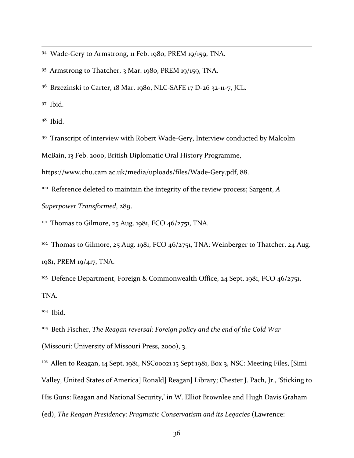<sup>94</sup> Wade-Gery to Armstrong, 11 Feb. 1980, PREM 19/159, TNA.

<sup>95</sup> Armstrong to Thatcher, 3 Mar. 1980, PREM 19/159, TNA.

<sup>96</sup> Brzezinski to Carter, 18 Mar. 1980, NLC-SAFE 17 D-26 32-11-7, JCL.

<sup>97</sup> Ibid.

 $\overline{\phantom{a}}$ 

<sup>98</sup> Ibid.

<sup>99</sup> Transcript of interview with Robert Wade-Gery, Interview conducted by Malcolm

McBain, 13 Feb. 2000, British Diplomatic Oral History Programme,

https://www.chu.cam.ac.uk/media/uploads/files/Wade-Gery.pdf, 88.

<sup>100</sup> Reference deleted to maintain the integrity of the review process; Sargent, *A* 

*Superpower Transformed*, 289.

<sup>101</sup> Thomas to Gilmore, 25 Aug. 1981, FCO 46/2751, TNA.

 $102$  Thomas to Gilmore, 25 Aug. 1981, FCO 46/2751, TNA; Weinberger to Thatcher, 24 Aug. 1981, PREM 19/417, TNA.

<sup>103</sup> Defence Department, Foreign & Commonwealth Office, 24 Sept. 1981, FCO 46/2751, TNA.

<sup>104</sup> Ibid.

<sup>105</sup> Beth Fischer, *The Reagan reversal: Foreign policy and the end of the Cold War* (Missouri: University of Missouri Press, 2000), 3.

 $106$  Allen to Reagan, 14 Sept. 1981, NSC00021 15 Sept 1981, Box 3, NSC: Meeting Files, [Simi Valley, United States of America] Ronald] Reagan] Library; Chester J. Pach, Jr., 'Sticking to His Guns: Reagan and National Security,' in W. Elliot Brownlee and Hugh Davis Graham (ed), *The Reagan Presidency: Pragmatic Conservatism and its Legacies* (Lawrence: